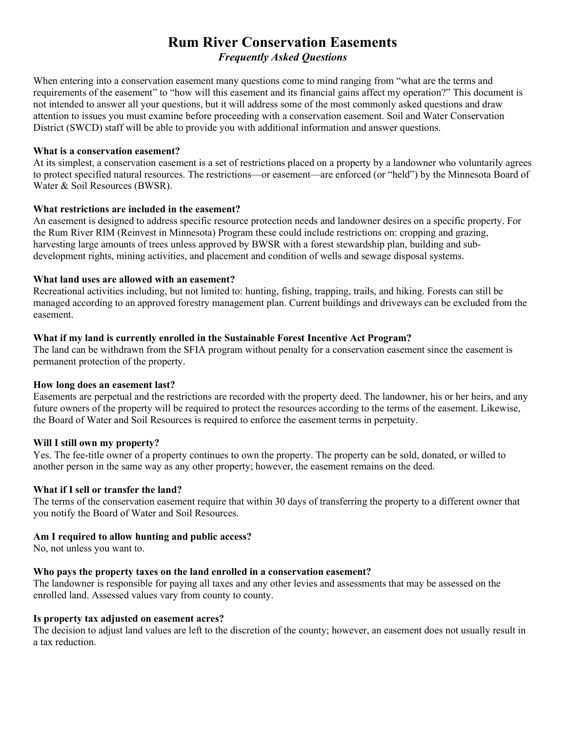# Rum River Conservation Easements Frequently Asked Questions

When entering into a conservation easement many questions come to mind ranging from "what are the terms and requirements of the easement" to "how will this easement and its financial gains affect my operation?" This document is not intended to answer all your questions, but it will address some of the most commonly asked questions and draw attention to issues you must examine before proceeding with a conservation easement. Soil and Water Conservation District (SWCD) staff will be able to provide you with additional information and answer questions.

### What is a conservation easement?

At its simplest, a conservation easement is a set of restrictions placed on a property by a landowner who voluntarily agrees to protect specified natural resources. The restrictions—or easement—are enforced (or "held") by the Minnesota Board of Water & Soil Resources (BWSR).

#### What restrictions are included in the easement?

An easement is designed to address specific resource protection needs and landowner desires on a specific property. For the Rum River RIM (Reinvest in Minnesota) Program these could include restrictions on: cropping and grazing, harvesting large amounts of trees unless approved by BWSR with a forest stewardship plan, building and subdevelopment rights, mining activities, and placement and condition of wells and sewage disposal systems.

### What land uses are allowed with an easement?

Recreational activities including, but not limited to: hunting, fishing, trapping, trails, and hiking. Forests can still be managed according to an approved forestry management plan. Current buildings and driveways can be excluded from the easement.

### What if my land is currently enrolled in the Sustainable Forest Incentive Act Program?

The land can be withdrawn from the SFIA program without penalty for a conservation easement since the easement is permanent protection of the property.

#### How long does an easement last?

Easements are perpetual and the restrictions are recorded with the property deed. The landowner, his or her heirs, and any future owners of the property will be required to protect the resources according to the terms of the easement. Likewise, the Board of Water and Soil Resources is required to enforce the easement terms in perpetuity.

### Will I still own my property?

Yes. The fee-title owner of a property continues to own the property. The property can be sold, donated, or willed to another person in the same way as any other property; however, the easement remains on the deed.

### What if I sell or transfer the land?

The terms of the conservation easement require that within 30 days of transferring the property to a different owner that you notify the Board of Water and Soil Resources.

### Am I required to allow hunting and public access?

No, not unless you want to.

### Who pays the property taxes on the land enrolled in a conservation easement?

The landowner is responsible for paying all taxes and any other levies and assessments that may be assessed on the enrolled land. Assessed values vary from county to county.

### Is property tax adjusted on easement acres?

The decision to adjust land values are left to the discretion of the county; however, an easement does not usually result in a tax reduction.